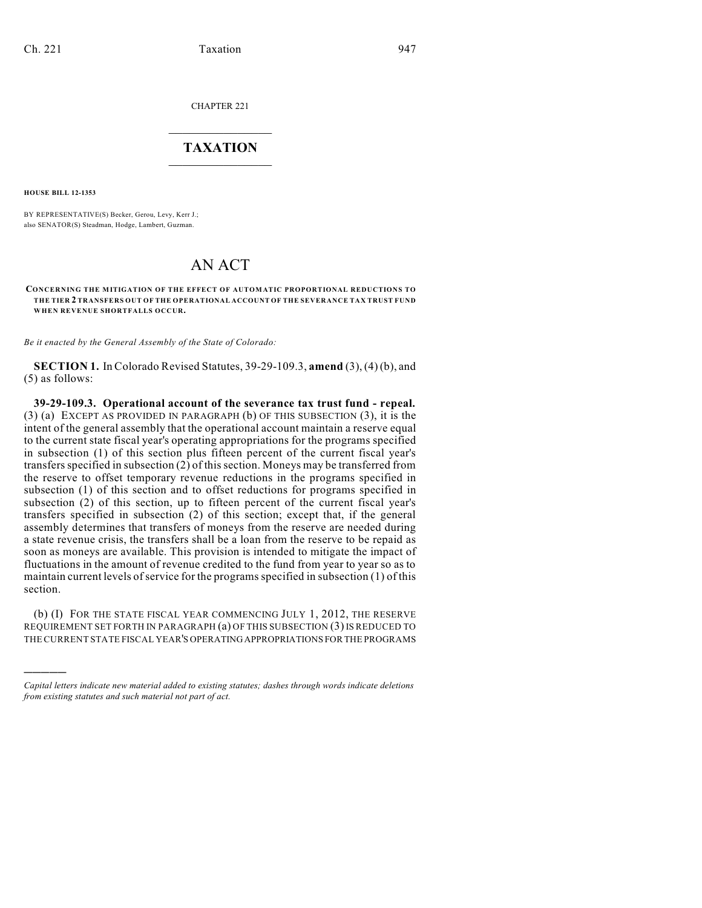CHAPTER 221

## $\mathcal{L}_\text{max}$  . The set of the set of the set of the set of the set of the set of the set of the set of the set of the set of the set of the set of the set of the set of the set of the set of the set of the set of the set **TAXATION**  $\_$

**HOUSE BILL 12-1353**

)))))

BY REPRESENTATIVE(S) Becker, Gerou, Levy, Kerr J.; also SENATOR(S) Steadman, Hodge, Lambert, Guzman.

# AN ACT

**CONCERNING THE MITIGATION OF THE EFFECT OF AUTOMATIC PROPORTIONAL REDUCTIONS TO THE TIER 2 TRANSFERS OUT OF THE OPERATIONAL ACCOUNT OF THE SEVERANCE TAX TRUST FUND WHEN REVENUE SHORTFALLS OCCUR.**

*Be it enacted by the General Assembly of the State of Colorado:*

**SECTION 1.** In Colorado Revised Statutes, 39-29-109.3, **amend** (3), (4) (b), and (5) as follows:

**39-29-109.3. Operational account of the severance tax trust fund - repeal.** (3) (a) EXCEPT AS PROVIDED IN PARAGRAPH (b) OF THIS SUBSECTION (3), it is the intent of the general assembly that the operational account maintain a reserve equal to the current state fiscal year's operating appropriations for the programs specified in subsection (1) of this section plus fifteen percent of the current fiscal year's transfersspecified in subsection (2) of this section. Moneys may be transferred from the reserve to offset temporary revenue reductions in the programs specified in subsection (1) of this section and to offset reductions for programs specified in subsection (2) of this section, up to fifteen percent of the current fiscal year's transfers specified in subsection (2) of this section; except that, if the general assembly determines that transfers of moneys from the reserve are needed during a state revenue crisis, the transfers shall be a loan from the reserve to be repaid as soon as moneys are available. This provision is intended to mitigate the impact of fluctuations in the amount of revenue credited to the fund from year to year so as to maintain current levels of service for the programs specified in subsection (1) of this section.

(b) (I) FOR THE STATE FISCAL YEAR COMMENCING JULY 1, 2012, THE RESERVE REQUIREMENT SET FORTH IN PARAGRAPH (a) OF THIS SUBSECTION (3)IS REDUCED TO THE CURRENT STATE FISCAL YEAR'S OPERATINGAPPROPRIATIONS FOR THE PROGRAMS

*Capital letters indicate new material added to existing statutes; dashes through words indicate deletions from existing statutes and such material not part of act.*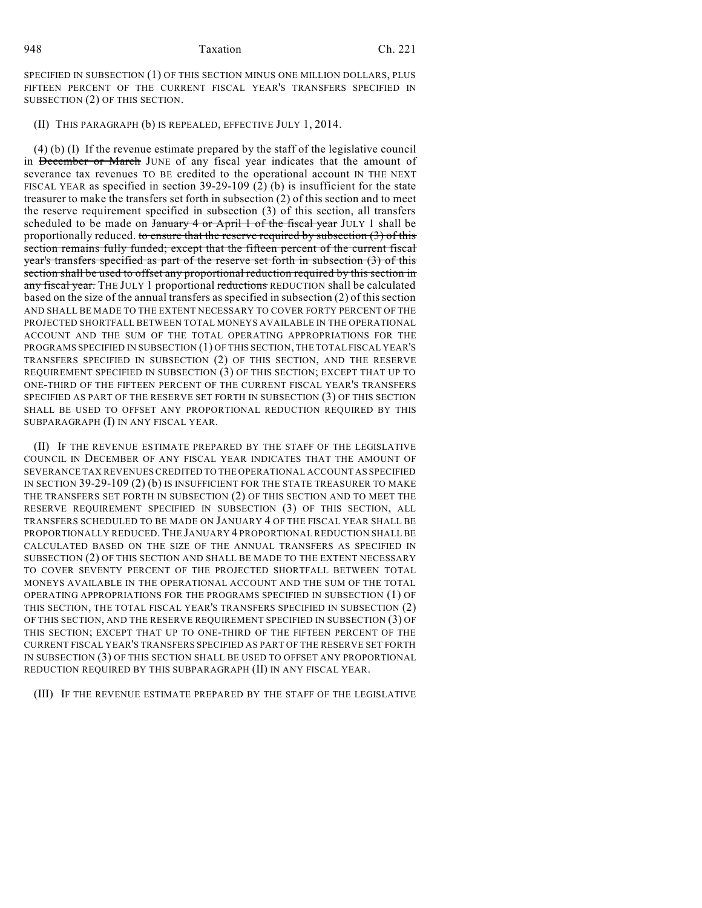#### 948 Taxation Ch. 221

SPECIFIED IN SUBSECTION (1) OF THIS SECTION MINUS ONE MILLION DOLLARS, PLUS FIFTEEN PERCENT OF THE CURRENT FISCAL YEAR'S TRANSFERS SPECIFIED IN SUBSECTION (2) OF THIS SECTION.

### (II) THIS PARAGRAPH (b) IS REPEALED, EFFECTIVE JULY 1, 2014.

(4) (b) (I) If the revenue estimate prepared by the staff of the legislative council in December or March JUNE of any fiscal year indicates that the amount of severance tax revenues TO BE credited to the operational account IN THE NEXT FISCAL YEAR as specified in section 39-29-109 (2) (b) is insufficient for the state treasurer to make the transfers set forth in subsection (2) of this section and to meet the reserve requirement specified in subsection (3) of this section, all transfers scheduled to be made on  $\frac{1}{2}$  and  $\frac{1}{2}$  or April 1 of the fiscal year JULY 1 shall be proportionally reduced. to ensure that the reserve required by subsection  $(3)$  of this section remains fully funded; except that the fifteen percent of the current fiscal year's transfers specified as part of the reserve set forth in subsection (3) of this section shall be used to offset any proportional reduction required by this section in any fiscal year. THE JULY 1 proportional reductions REDUCTION shall be calculated based on the size of the annual transfers as specified in subsection (2) of this section AND SHALL BE MADE TO THE EXTENT NECESSARY TO COVER FORTY PERCENT OF THE PROJECTED SHORTFALL BETWEEN TOTAL MONEYS AVAILABLE IN THE OPERATIONAL ACCOUNT AND THE SUM OF THE TOTAL OPERATING APPROPRIATIONS FOR THE PROGRAMS SPECIFIED IN SUBSECTION (1) OF THIS SECTION, THE TOTAL FISCAL YEAR'S TRANSFERS SPECIFIED IN SUBSECTION (2) OF THIS SECTION, AND THE RESERVE REQUIREMENT SPECIFIED IN SUBSECTION (3) OF THIS SECTION; EXCEPT THAT UP TO ONE-THIRD OF THE FIFTEEN PERCENT OF THE CURRENT FISCAL YEAR'S TRANSFERS SPECIFIED AS PART OF THE RESERVE SET FORTH IN SUBSECTION (3) OF THIS SECTION SHALL BE USED TO OFFSET ANY PROPORTIONAL REDUCTION REQUIRED BY THIS SUBPARAGRAPH (I) IN ANY FISCAL YEAR.

(II) IF THE REVENUE ESTIMATE PREPARED BY THE STAFF OF THE LEGISLATIVE COUNCIL IN DECEMBER OF ANY FISCAL YEAR INDICATES THAT THE AMOUNT OF SEVERANCE TAX REVENUES CREDITED TO THE OPERATIONAL ACCOUNT AS SPECIFIED IN SECTION 39-29-109 (2) (b) IS INSUFFICIENT FOR THE STATE TREASURER TO MAKE THE TRANSFERS SET FORTH IN SUBSECTION (2) OF THIS SECTION AND TO MEET THE RESERVE REQUIREMENT SPECIFIED IN SUBSECTION (3) OF THIS SECTION, ALL TRANSFERS SCHEDULED TO BE MADE ON JANUARY 4 OF THE FISCAL YEAR SHALL BE PROPORTIONALLY REDUCED. THE JANUARY 4 PROPORTIONAL REDUCTION SHALL BE CALCULATED BASED ON THE SIZE OF THE ANNUAL TRANSFERS AS SPECIFIED IN SUBSECTION (2) OF THIS SECTION AND SHALL BE MADE TO THE EXTENT NECESSARY TO COVER SEVENTY PERCENT OF THE PROJECTED SHORTFALL BETWEEN TOTAL MONEYS AVAILABLE IN THE OPERATIONAL ACCOUNT AND THE SUM OF THE TOTAL OPERATING APPROPRIATIONS FOR THE PROGRAMS SPECIFIED IN SUBSECTION (1) OF THIS SECTION, THE TOTAL FISCAL YEAR'S TRANSFERS SPECIFIED IN SUBSECTION (2) OF THIS SECTION, AND THE RESERVE REQUIREMENT SPECIFIED IN SUBSECTION (3) OF THIS SECTION; EXCEPT THAT UP TO ONE-THIRD OF THE FIFTEEN PERCENT OF THE CURRENT FISCAL YEAR'S TRANSFERS SPECIFIED AS PART OF THE RESERVE SET FORTH IN SUBSECTION (3) OF THIS SECTION SHALL BE USED TO OFFSET ANY PROPORTIONAL REDUCTION REQUIRED BY THIS SUBPARAGRAPH (II) IN ANY FISCAL YEAR.

(III) IF THE REVENUE ESTIMATE PREPARED BY THE STAFF OF THE LEGISLATIVE